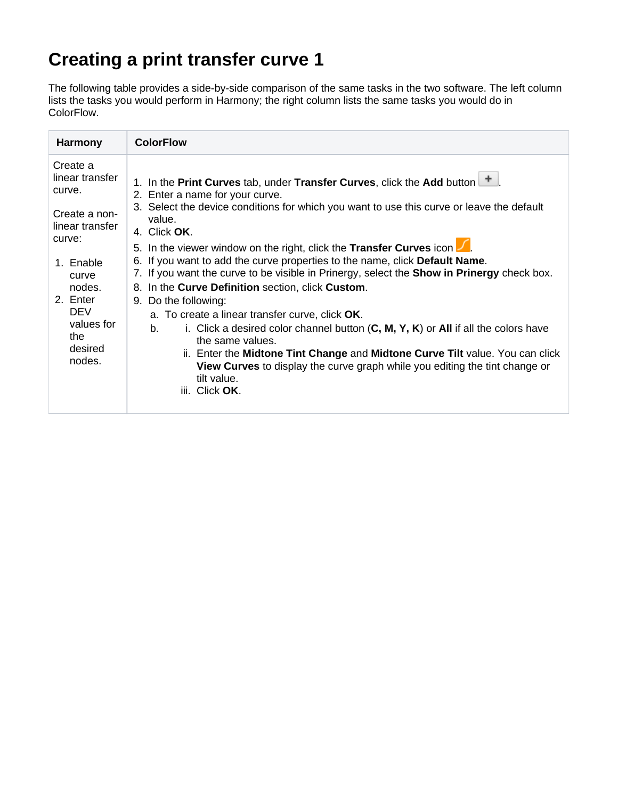## **Creating a print transfer curve 1**

The following table provides a side-by-side comparison of the same tasks in the two software. The left column lists the tasks you would perform in Harmony; the right column lists the same tasks you would do in ColorFlow.

| <b>Harmony</b>                                                                                                                                                                          | <b>ColorFlow</b>                                                                                                                                                                                                                                                                                                                                                                                                                                                                                                                                                                                                                                                                                                                                                                                                                                                                                                                                                                |
|-----------------------------------------------------------------------------------------------------------------------------------------------------------------------------------------|---------------------------------------------------------------------------------------------------------------------------------------------------------------------------------------------------------------------------------------------------------------------------------------------------------------------------------------------------------------------------------------------------------------------------------------------------------------------------------------------------------------------------------------------------------------------------------------------------------------------------------------------------------------------------------------------------------------------------------------------------------------------------------------------------------------------------------------------------------------------------------------------------------------------------------------------------------------------------------|
| Create a<br>linear transfer<br>curve.<br>Create a non-<br>linear transfer<br>curve:<br>1. Enable<br>curve<br>nodes.<br>2. Enter<br><b>DEV</b><br>values for<br>the<br>desired<br>nodes. | 1. In the Print Curves tab, under Transfer Curves, click the Add button <sup>+</sup><br>2. Enter a name for your curve.<br>3. Select the device conditions for which you want to use this curve or leave the default<br>value.<br>4. Click OK.<br>5. In the viewer window on the right, click the Transfer Curves icon $\sqrt{ }$<br>6. If you want to add the curve properties to the name, click Default Name.<br>7. If you want the curve to be visible in Prinergy, select the <b>Show in Prinergy</b> check box.<br>8. In the Curve Definition section, click Custom.<br>9. Do the following:<br>a. To create a linear transfer curve, click OK.<br>i. Click a desired color channel button $(C, M, Y, K)$ or All if all the colors have<br>b.<br>the same values.<br>ii. Enter the Midtone Tint Change and Midtone Curve Tilt value. You can click<br><b>View Curves</b> to display the curve graph while you editing the tint change or<br>tilt value.<br>iii. Click OK. |